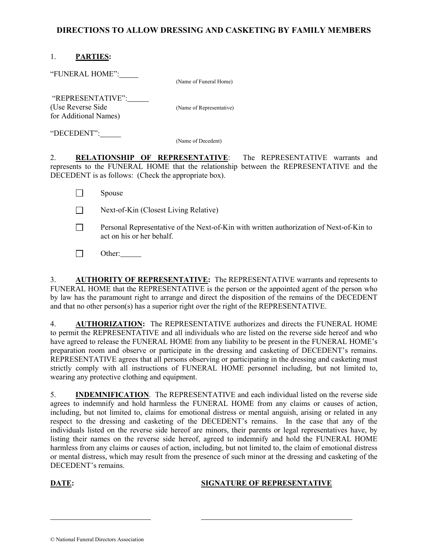## DIRECTIONS TO ALLOW DRESSING AND CASKETING BY FAMILY MEMBERS

## 1. PARTIES:

"FUNERAL HOME":

(Name of Funeral Home)

 "REPRESENTATIVE": (Use Reverse Side (Name of Representative) for Additional Names)

"DECEDENT":

(Name of Decedent)

2. RELATIONSHIP OF REPRESENTATIVE: The REPRESENTATIVE warrants and represents to the FUNERAL HOME that the relationship between the REPRESENTATIVE and the DECEDENT is as follows: (Check the appropriate box).

| $\Box$ | <b>Spouse</b>                                                                                                        |
|--------|----------------------------------------------------------------------------------------------------------------------|
| $\Box$ | Next-of-Kin (Closest Living Relative)                                                                                |
|        | Personal Representative of the Next-of-Kin with written authorization of Next-of-Kin to<br>act on his or her behalf. |

 $\Box$  Other:

3. AUTHORITY OF REPRESENTATIVE: The REPRESENTATIVE warrants and represents to FUNERAL HOME that the REPRESENTATIVE is the person or the appointed agent of the person who by law has the paramount right to arrange and direct the disposition of the remains of the DECEDENT and that no other person(s) has a superior right over the right of the REPRESENTATIVE.

4. AUTHORIZATION: The REPRESENTATIVE authorizes and directs the FUNERAL HOME to permit the REPRESENTATIVE and all individuals who are listed on the reverse side hereof and who have agreed to release the FUNERAL HOME from any liability to be present in the FUNERAL HOME's preparation room and observe or participate in the dressing and casketing of DECEDENT's remains. REPRESENTATIVE agrees that all persons observing or participating in the dressing and casketing must strictly comply with all instructions of FUNERAL HOME personnel including, but not limited to, wearing any protective clothing and equipment.

5. **INDEMNIFICATION**. The REPRESENTATIVE and each individual listed on the reverse side agrees to indemnify and hold harmless the FUNERAL HOME from any claims or causes of action, including, but not limited to, claims for emotional distress or mental anguish, arising or related in any respect to the dressing and casketing of the DECEDENT's remains. In the case that any of the individuals listed on the reverse side hereof are minors, their parents or legal representatives have, by listing their names on the reverse side hereof, agreed to indemnify and hold the FUNERAL HOME harmless from any claims or causes of action, including, but not limited to, the claim of emotional distress or mental distress, which may result from the presence of such minor at the dressing and casketing of the DECEDENT's remains.

 $\overline{a}$ 

## DATE: SIGNATURE OF REPRESENTATIVE

<sup>©</sup> National Funeral Directors Association